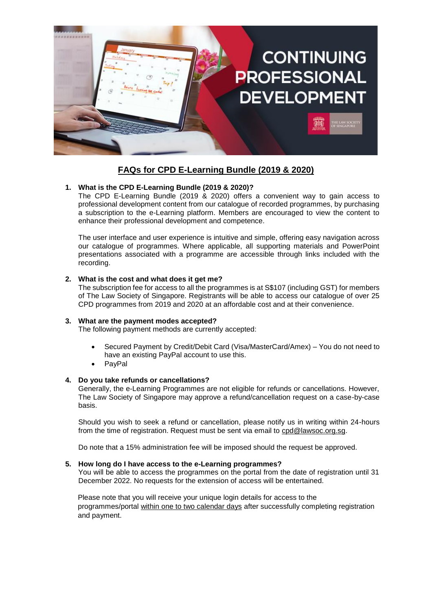

# **FAQs for CPD E-Learning Bundle (2019 & 2020)**

## **1. What is the CPD E-Learning Bundle (2019 & 2020)?**

The CPD E-Learning Bundle (2019 & 2020) offers a convenient way to gain access to professional development content from our catalogue of recorded programmes, by purchasing a subscription to the e-Learning platform. Members are encouraged to view the content to enhance their professional development and competence.

The user interface and user experience is intuitive and simple, offering easy navigation across our catalogue of programmes. Where applicable, all supporting materials and PowerPoint presentations associated with a programme are accessible through links included with the recording.

## **2. What is the cost and what does it get me?**

The subscription fee for access to all the programmes is at S\$107 (including GST) for members of The Law Society of Singapore. Registrants will be able to access our catalogue of over 25 CPD programmes from 2019 and 2020 at an affordable cost and at their convenience.

#### **3. What are the payment modes accepted?**

The following payment methods are currently accepted:

- Secured Payment by Credit/Debit Card (Visa/MasterCard/Amex) You do not need to have an existing PayPal account to use this.
- PayPal

## **4. Do you take refunds or cancellations?**

Generally, the e-Learning Programmes are not eligible for refunds or cancellations. However, The Law Society of Singapore may approve a refund/cancellation request on a case-by-case basis.

Should you wish to seek a refund or cancellation, please notify us in writing within 24-hours from the time of registration. Request must be sent via email to [cpd@lawsoc.org.sg.](mailto:cpd@lawsoc.org.sg)

Do note that a 15% administration fee will be imposed should the request be approved.

## **5. How long do I have access to the e-Learning programmes?**

You will be able to access the programmes on the portal from the date of registration until 31 December 2022. No requests for the extension of access will be entertained.

Please note that you will receive your unique login details for access to the programmes/portal within one to two calendar days after successfully completing registration and payment.